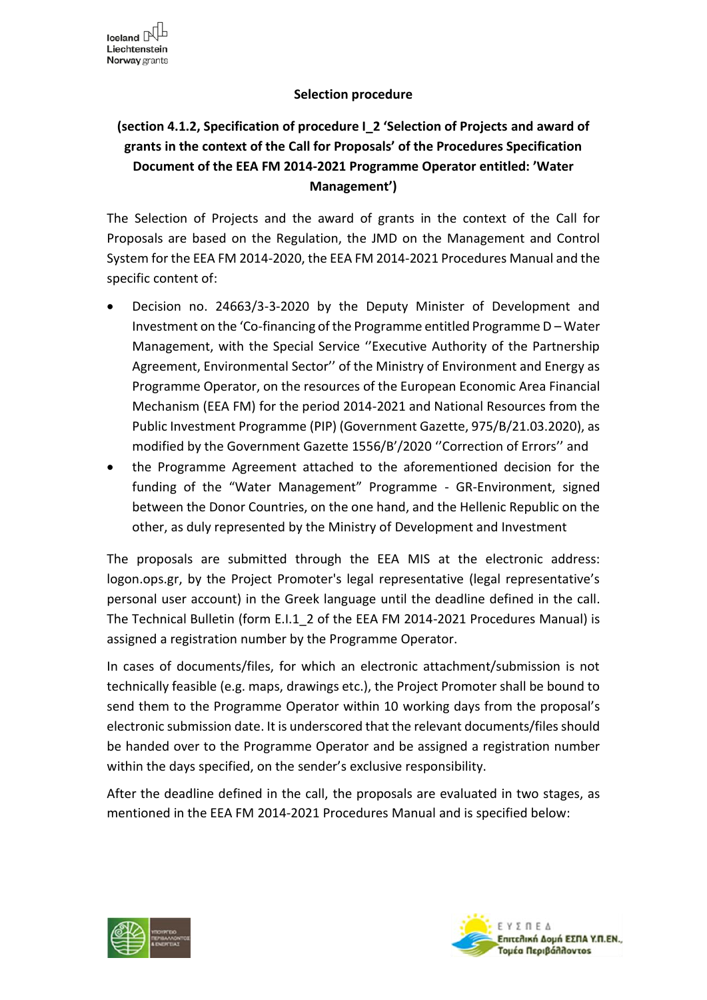## **Selection procedure**

## **(section 4.1.2, Specification of procedure Ι\_2 'Selection of Projects and award of grants in the context of the Call for Proposals' of the Procedures Specification Document of the EEA FM 2014-2021 Programme Operator entitled: 'Water Management')**

The Selection of Projects and the award of grants in the context of the Call for Proposals are based on the Regulation, the JMD on the Management and Control System for the EEA FM 2014-2020, the EEA FM 2014-2021 Procedures Manual and the specific content of:

- Decision no. 24663/3-3-2020 by the Deputy Minister of Development and Investment on the 'Co-financing of the Programme entitled Programme D – Water Management, with the Special Service ''Executive Authority of the Partnership Agreement, Environmental Sector'' of the Ministry of Environment and Energy as Programme Operator, on the resources of the European Economic Area Financial Mechanism (EEA FM) for the period 2014-2021 and National Resources from the Public Investment Programme (PIP) (Government Gazette, 975/Β/21.03.2020), as modified by the Government Gazette 1556/Β'/2020 ''Correction of Errors'' and
- the Programme Agreement attached to the aforementioned decision for the funding of the "Water Management" Programme - GR-Environment, signed between the Donor Countries, on the one hand, and the Hellenic Republic on the other, as duly represented by the Ministry of Development and Investment

The proposals are submitted through the EEA MIS at the electronic address: logon.ops.gr, by the Project Promoter's legal representative (legal representative's personal user account) in the Greek language until the deadline defined in the call. The Technical Bulletin (form E.I.1\_2 of the EEA FM 2014-2021 Procedures Manual) is assigned a registration number by the Programme Operator.

In cases of documents/files, for which an electronic attachment/submission is not technically feasible (e.g. maps, drawings etc.), the Project Promoter shall be bound to send them to the Programme Operator within 10 working days from the proposal's electronic submission date. It is underscored that the relevant documents/files should be handed over to the Programme Operator and be assigned a registration number within the days specified, on the sender's exclusive responsibility.

After the deadline defined in the call, the proposals are evaluated in two stages, as mentioned in the EEA FM 2014-2021 Procedures Manual and is specified below:



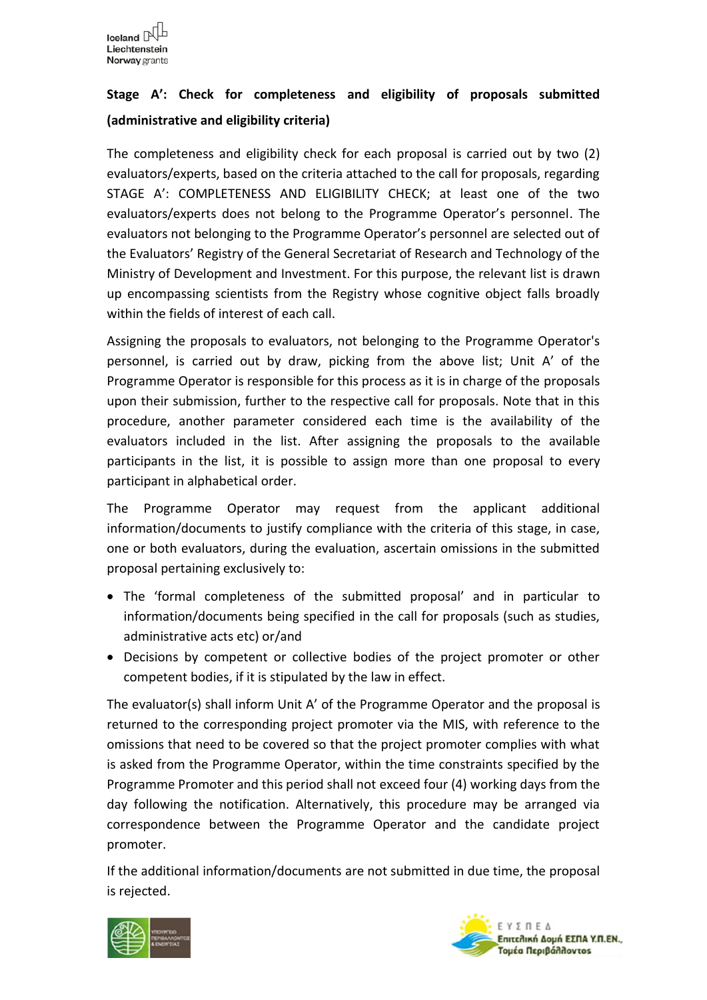## **Stage A': Check for completeness and eligibility of proposals submitted (administrative and eligibility criteria)**

The completeness and eligibility check for each proposal is carried out by two (2) evaluators/experts, based on the criteria attached to the call for proposals, regarding STAGE A': COMPLETENESS AND ELIGIBILITY CHECK; at least one of the two evaluators/experts does not belong to the Programme Operator's personnel. The evaluators not belonging to the Programme Operator's personnel are selected out of the Evaluators' Registry of the General Secretariat of Research and Technology of the Ministry of Development and Investment. For this purpose, the relevant list is drawn up encompassing scientists from the Registry whose cognitive object falls broadly within the fields of interest of each call.

Assigning the proposals to evaluators, not belonging to the Programme Operator's personnel, is carried out by draw, picking from the above list; Unit A' of the Programme Operator is responsible for this process as it is in charge of the proposals upon their submission, further to the respective call for proposals. Note that in this procedure, another parameter considered each time is the availability of the evaluators included in the list. After assigning the proposals to the available participants in the list, it is possible to assign more than one proposal to every participant in alphabetical order.

The Programme Operator may request from the applicant additional information/documents to justify compliance with the criteria of this stage, in case, one or both evaluators, during the evaluation, ascertain omissions in the submitted proposal pertaining exclusively to:

- The 'formal completeness of the submitted proposal' and in particular to information/documents being specified in the call for proposals (such as studies, administrative acts etc) or/and
- Decisions by competent or collective bodies of the project promoter or other competent bodies, if it is stipulated by the law in effect.

The evaluator(s) shall inform Unit A' of the Programme Operator and the proposal is returned to the corresponding project promoter via the MIS, with reference to the omissions that need to be covered so that the project promoter complies with what is asked from the Programme Operator, within the time constraints specified by the Programme Promoter and this period shall not exceed four (4) working days from the day following the notification. Alternatively, this procedure may be arranged via correspondence between the Programme Operator and the candidate project promoter.

If the additional information/documents are not submitted in due time, the proposal is rejected.



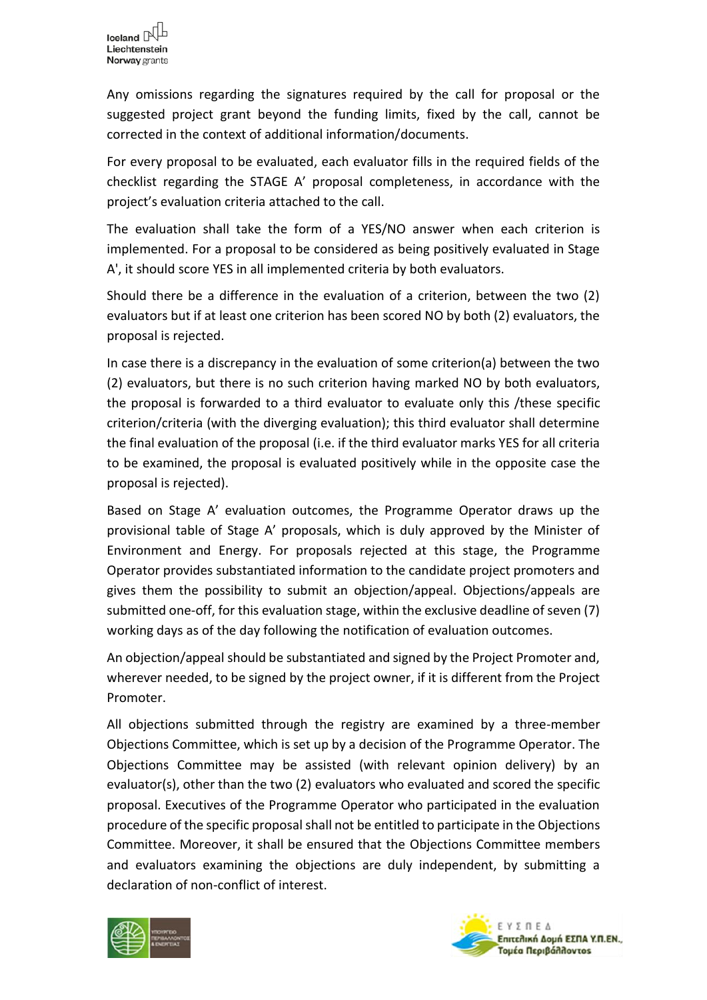Any omissions regarding the signatures required by the call for proposal or the suggested project grant beyond the funding limits, fixed by the call, cannot be corrected in the context of additional information/documents.

For every proposal to be evaluated, each evaluator fills in the required fields of the checklist regarding the STAGE A' proposal completeness, in accordance with the project's evaluation criteria attached to the call.

The evaluation shall take the form of a YES/NO answer when each criterion is implemented. For a proposal to be considered as being positively evaluated in Stage A', it should score YES in all implemented criteria by both evaluators.

Should there be a difference in the evaluation of a criterion, between the two (2) evaluators but if at least one criterion has been scored NO by both (2) evaluators, the proposal is rejected.

In case there is a discrepancy in the evaluation of some criterion(a) between the two (2) evaluators, but there is no such criterion having marked NO by both evaluators, the proposal is forwarded to a third evaluator to evaluate only this /these specific criterion/criteria (with the diverging evaluation); this third evaluator shall determine the final evaluation of the proposal (i.e. if the third evaluator marks YES for all criteria to be examined, the proposal is evaluated positively while in the opposite case the proposal is rejected).

Based on Stage A' evaluation outcomes, the Programme Operator draws up the provisional table of Stage A' proposals, which is duly approved by the Minister of Environment and Energy. For proposals rejected at this stage, the Programme Operator provides substantiated information to the candidate project promoters and gives them the possibility to submit an objection/appeal. Objections/appeals are submitted one-off, for this evaluation stage, within the exclusive deadline of seven (7) working days as of the day following the notification of evaluation outcomes.

An objection/appeal should be substantiated and signed by the Project Promoter and, wherever needed, to be signed by the project owner, if it is different from the Project Promoter.

All objections submitted through the registry are examined by a three-member Objections Committee, which is set up by a decision of the Programme Operator. The Objections Committee may be assisted (with relevant opinion delivery) by an evaluator(s), other than the two (2) evaluators who evaluated and scored the specific proposal. Executives of the Programme Operator who participated in the evaluation procedure of the specific proposal shall not be entitled to participate in the Objections Committee. Moreover, it shall be ensured that the Objections Committee members and evaluators examining the objections are duly independent, by submitting a declaration of non-conflict of interest.



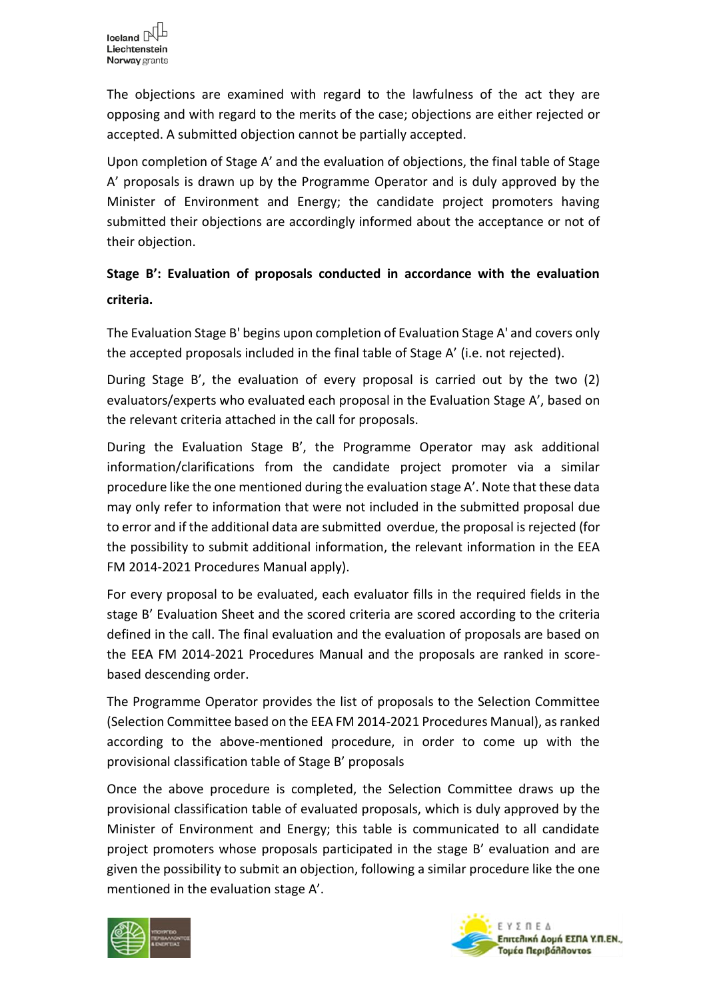The objections are examined with regard to the lawfulness of the act they are opposing and with regard to the merits of the case; objections are either rejected or accepted. A submitted objection cannot be partially accepted.

Upon completion of Stage A' and the evaluation of objections, the final table of Stage A' proposals is drawn up by the Programme Operator and is duly approved by the Minister of Environment and Energy; the candidate project promoters having submitted their objections are accordingly informed about the acceptance or not of their objection.

## **Stage B': Evaluation of proposals conducted in accordance with the evaluation criteria.**

The Evaluation Stage B' begins upon completion of Evaluation Stage A' and covers only the accepted proposals included in the final table of Stage A' (i.e. not rejected).

During Stage B', the evaluation of every proposal is carried out by the two (2) evaluators/experts who evaluated each proposal in the Evaluation Stage A', based on the relevant criteria attached in the call for proposals.

During the Evaluation Stage B', the Programme Operator may ask additional information/clarifications from the candidate project promoter via a similar procedure like the one mentioned during the evaluation stage A'. Note that these data may only refer to information that were not included in the submitted proposal due to error and if the additional data are submitted overdue, the proposal is rejected (for the possibility to submit additional information, the relevant information in the EEA FM 2014-2021 Procedures Manual apply).

For every proposal to be evaluated, each evaluator fills in the required fields in the stage B' Evaluation Sheet and the scored criteria are scored according to the criteria defined in the call. The final evaluation and the evaluation of proposals are based on the EEA FM 2014-2021 Procedures Manual and the proposals are ranked in scorebased descending order.

The Programme Operator provides the list of proposals to the Selection Committee (Selection Committee based on the EEA FM 2014-2021 Procedures Manual), as ranked according to the above-mentioned procedure, in order to come up with the provisional classification table of Stage B' proposals

Once the above procedure is completed, the Selection Committee draws up the provisional classification table of evaluated proposals, which is duly approved by the Minister of Environment and Energy; this table is communicated to all candidate project promoters whose proposals participated in the stage B' evaluation and are given the possibility to submit an objection, following a similar procedure like the one mentioned in the evaluation stage A'.